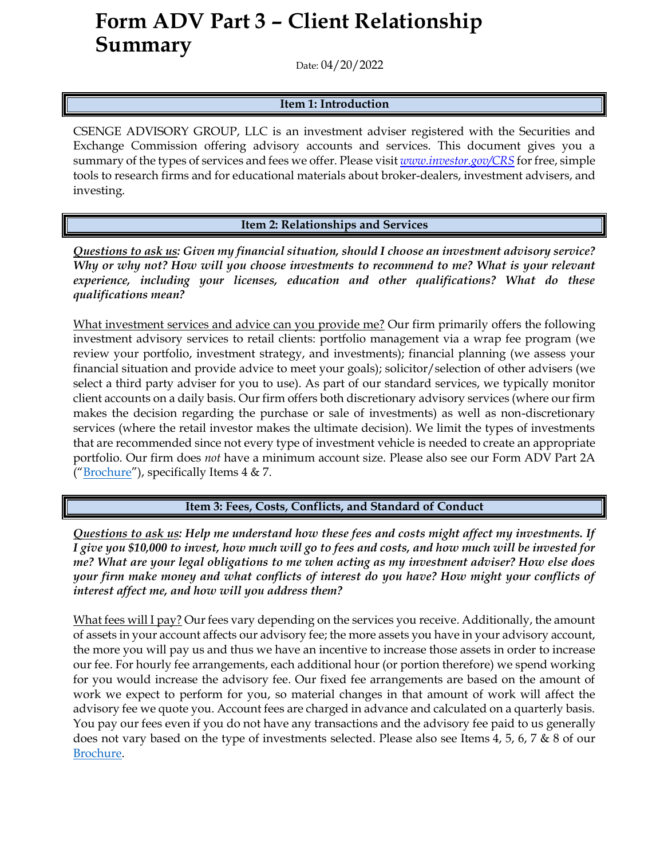## **Form ADV Part 3 – Client Relationship Summary**

Date: 04/20/2022

## **Item 1: Introduction**

CSENGE ADVISORY GROUP, LLC is an investment adviser registered with the Securities and Exchange Commission offering advisory accounts and services. This document gives you a summary of the types of services and fees we offer. Please visit *[www.investor.gov/CRS](http://www.investor.gov/CRS)* for free, simple tools to research firms and for educational materials about broker-dealers, investment advisers, and investing.

**Item 2: Relationships and Services**

*Questions to ask us: Given my financial situation, should I choose an investment advisory service? Why or why not? How will you choose investments to recommend to me? What is your relevant*  experience, including your licenses, education and other qualifications? What do these *qualifications mean?*

What investment services and advice can you provide me? Our firm primarily offers the following investment advisory services to retail clients: portfolio management via a wrap fee program (we review your portfolio, investment strategy, and investments); financial planning (we assess your financial situation and provide advice to meet your goals); solicitor/selection of other advisers (we select a third party adviser for you to use). As part of our standard services, we typically monitor client accounts on a daily basis. Our firm offers both discretionary advisory services (where our firm makes the decision regarding the purchase or sale of investments) as well as non-discretionary services (where the retail investor makes the ultimate decision). We limit the types of investments that are recommended since not every type of investment vehicle is needed to create an appropriate portfolio. Our firm does *not* have a minimum account size. Please also see our Form ADV Part 2A ("[Brochure](https://adviserinfo.sec.gov/firm/summary/131167)"), specifically Items  $4 \& 7$ .

**Item 3: Fees, Costs, Conflicts, and Standard of Conduct** 

*Questions to ask us: Help me understand how these fees and costs might affect my investments. If I give you \$10,000 to invest, how much will go to fees and costs, and how much will be invested for me? What are your legal obligations to me when acting as my investment adviser? How else does your firm make money and what conflicts of interest do you have? How might your conflicts of interest affect me, and how will you address them?* 

What fees will I pay? Our fees vary depending on the services you receive. Additionally, the amount of assets in your account affects our advisory fee; the more assets you have in your advisory account, the more you will pay us and thus we have an incentive to increase those assets in order to increase our fee. For hourly fee arrangements, each additional hour (or portion therefore) we spend working for you would increase the advisory fee. Our fixed fee arrangements are based on the amount of work we expect to perform for you, so material changes in that amount of work will affect the advisory fee we quote you. Account fees are charged in advance and calculated on a quarterly basis. You pay our fees even if you do not have any transactions and the advisory fee paid to us generally does not vary based on the type of investments selected. Please also see Items 4, 5, 6, 7 & 8 of our [Brochure.](https://adviserinfo.sec.gov/firm/summary/131167)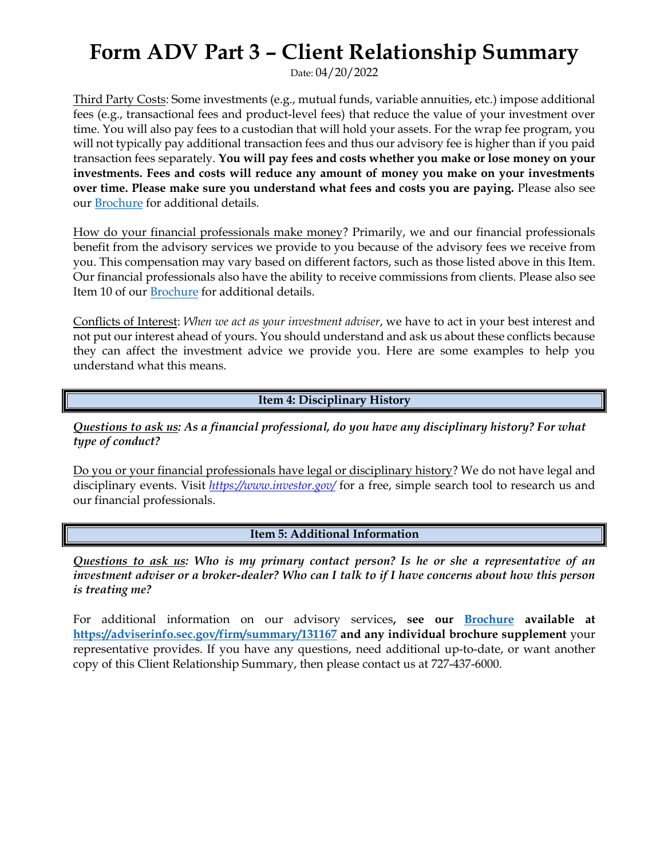## **Form ADV Part 3 – Client Relationship Summary**

Date: 04/20/2022

Third Party Costs: Some investments (e.g., mutual funds, variable annuities, etc.) impose additional fees (e.g., transactional fees and product-level fees) that reduce the value of your investment over time. You will also pay fees to a custodian that will hold your assets. For the wrap fee program, you will not typically pay additional transaction fees and thus our advisory fee is higher than if you paid transaction fees separately. **You will pay fees and costs whether you make or lose money on your investments. Fees and costs will reduce any amount of money you make on your investments over time. Please make sure you understand what fees and costs you are paying.** Please also see our [Brochure](https://adviserinfo.sec.gov/firm/summary/131167) for additional details.

How do your financial professionals make money? Primarily, we and our financial professionals benefit from the advisory services we provide to you because of the advisory fees we receive from you. This compensation may vary based on different factors, such as those listed above in this Item. Our financial professionals also have the ability to receive commissions from clients. Please also see Item 10 of our [Brochure](https://adviserinfo.sec.gov/firm/summary/131167) for additional details.

Conflicts of Interest: *When we act as your investment adviser*, we have to act in your best interest and not put our interest ahead of yours. You should understand and ask us about these conflicts because they can affect the investment advice we provide you. Here are some examples to help you understand what this means.

**Item 4: Disciplinary History**

*Questions to ask us: As a financial professional, do you have any disciplinary history? For what type of conduct?*

Do you or your financial professionals have legal or disciplinary history? We do not have legal and disciplinary events. Visit *<https://www.investor.gov/>* for a free, simple search tool to research us and our financial professionals.

**Item 5: Additional Information**

*Questions to ask us: Who is my primary contact person? Is he or she a representative of an investment adviser or a broker-dealer? Who can I talk to if I have concerns about how this person is treating me?*

For additional information on our advisory services**, see our [Brochure](https://adviserinfo.sec.gov/firm/summary/131167) available at <https://adviserinfo.sec.gov/firm/summary/131167> and any individual brochure supplement** your representative provides. If you have any questions, need additional up-to-date, or want another copy of this Client Relationship Summary, then please contact us at 727-437-6000.